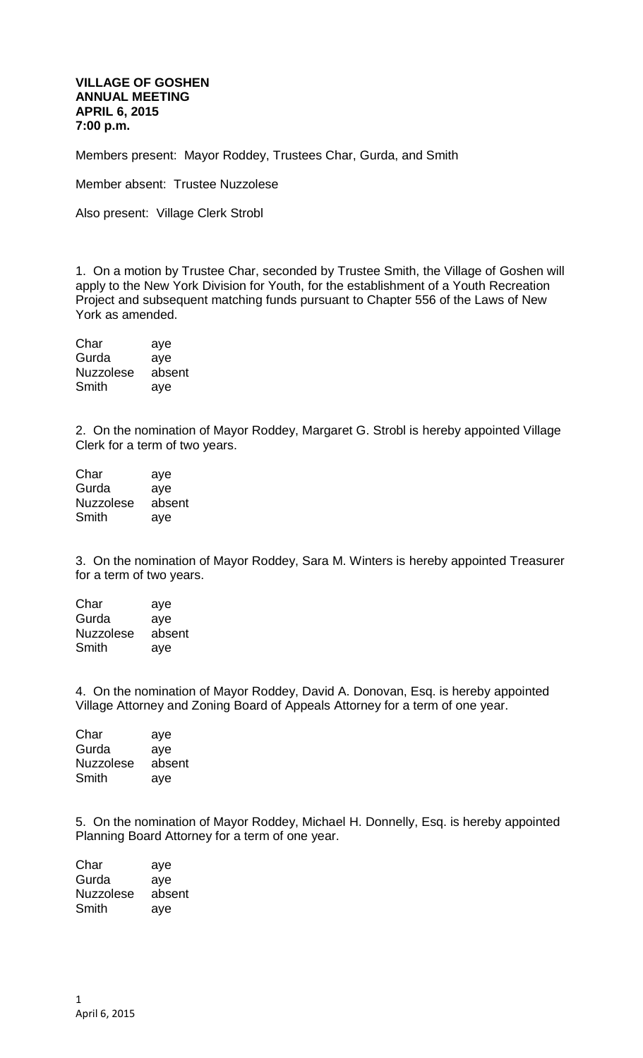## **VILLAGE OF GOSHEN ANNUAL MEETING APRIL 6, 2015 7:00 p.m.**

Members present: Mayor Roddey, Trustees Char, Gurda, and Smith

Member absent: Trustee Nuzzolese

Also present: Village Clerk Strobl

1. On a motion by Trustee Char, seconded by Trustee Smith, the Village of Goshen will apply to the New York Division for Youth, for the establishment of a Youth Recreation Project and subsequent matching funds pursuant to Chapter 556 of the Laws of New York as amended.

| Char             | aye    |
|------------------|--------|
| Gurda            | aye    |
| <b>Nuzzolese</b> | absent |
| Smith            | aye    |

2. On the nomination of Mayor Roddey, Margaret G. Strobl is hereby appointed Village Clerk for a term of two years.

| Char             | aye    |
|------------------|--------|
| Gurda            | aye    |
| <b>Nuzzolese</b> | absent |
| Smith            | ave    |

3. On the nomination of Mayor Roddey, Sara M. Winters is hereby appointed Treasurer for a term of two years.

| Char             | aye    |
|------------------|--------|
| Gurda            | aye    |
| <b>Nuzzolese</b> | absent |
| Smith            | aye    |

4. On the nomination of Mayor Roddey, David A. Donovan, Esq. is hereby appointed Village Attorney and Zoning Board of Appeals Attorney for a term of one year.

| Char             | aye    |
|------------------|--------|
| Gurda            | aye    |
| <b>Nuzzolese</b> | absent |
| Smith            | ave    |

5. On the nomination of Mayor Roddey, Michael H. Donnelly, Esq. is hereby appointed Planning Board Attorney for a term of one year.

| aye    |
|--------|
| aye    |
| absent |
| aye    |
|        |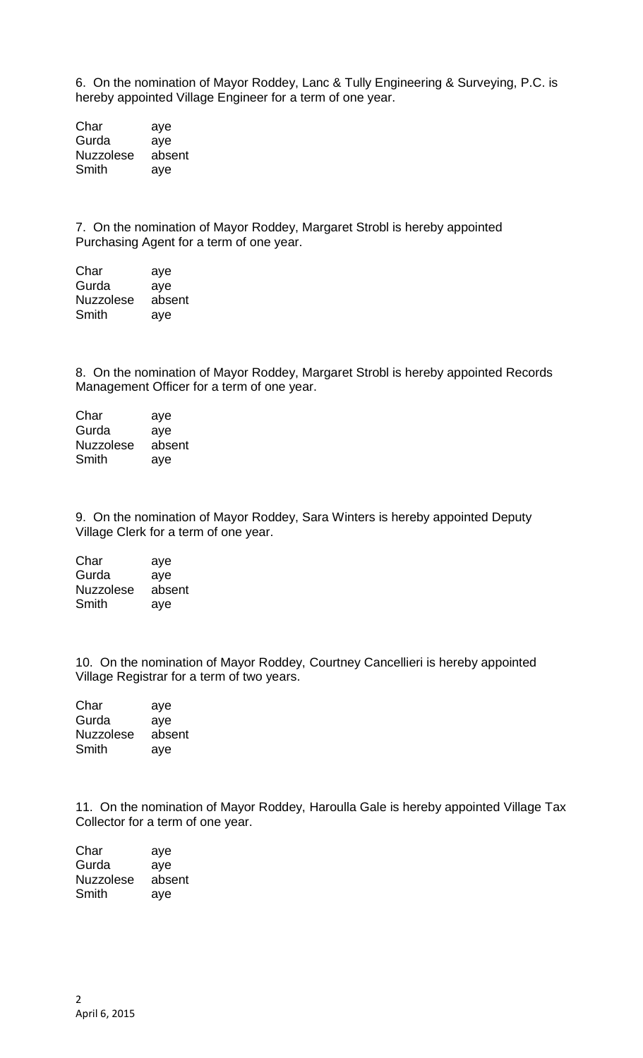6. On the nomination of Mayor Roddey, Lanc & Tully Engineering & Surveying, P.C. is hereby appointed Village Engineer for a term of one year.

Char aye Gurda aye Nuzzolese absent Smith aye

7. On the nomination of Mayor Roddey, Margaret Strobl is hereby appointed Purchasing Agent for a term of one year.

| Char             | aye    |
|------------------|--------|
| Gurda            | aye    |
| <b>Nuzzolese</b> | absent |
| Smith            | aye    |

8. On the nomination of Mayor Roddey, Margaret Strobl is hereby appointed Records Management Officer for a term of one year.

Char aye Gurda aye Nuzzolese absent Smith aye

9. On the nomination of Mayor Roddey, Sara Winters is hereby appointed Deputy Village Clerk for a term of one year.

Char aye Gurda aye Nuzzolese absent Smith aye

10. On the nomination of Mayor Roddey, Courtney Cancellieri is hereby appointed Village Registrar for a term of two years.

Char aye Gurda aye Nuzzolese absent Smith aye

11. On the nomination of Mayor Roddey, Haroulla Gale is hereby appointed Village Tax Collector for a term of one year.

Char aye Gurda aye Nuzzolese absent Smith aye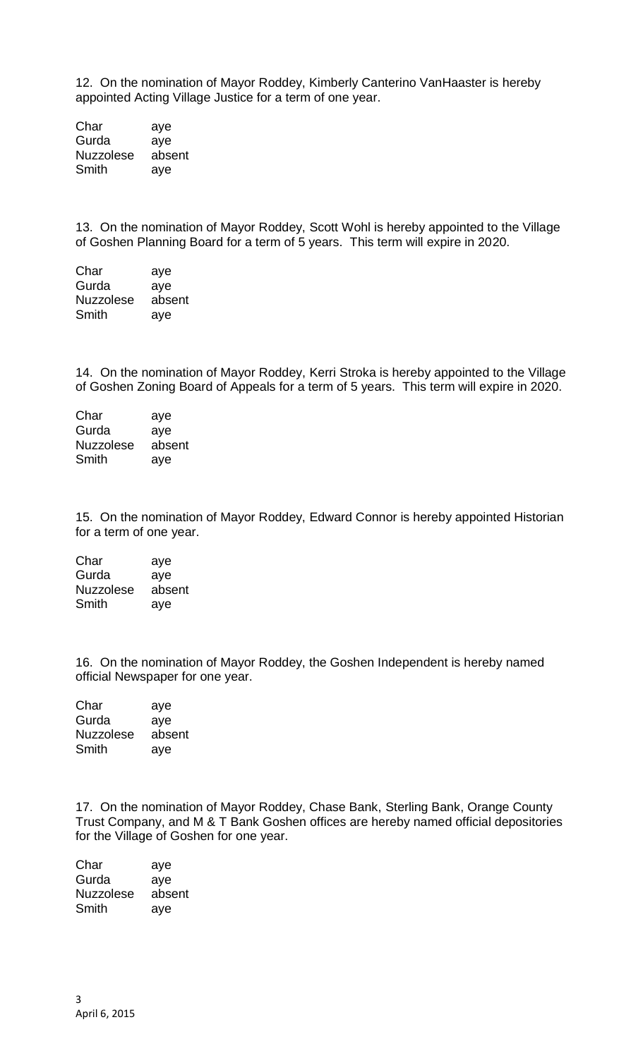12. On the nomination of Mayor Roddey, Kimberly Canterino VanHaaster is hereby appointed Acting Village Justice for a term of one year.

Char aye Gurda aye Nuzzolese absent Smith aye

13. On the nomination of Mayor Roddey, Scott Wohl is hereby appointed to the Village of Goshen Planning Board for a term of 5 years. This term will expire in 2020.

| Char             | aye    |
|------------------|--------|
| Gurda            | aye    |
| <b>Nuzzolese</b> | absent |
| Smith            | aye    |

14. On the nomination of Mayor Roddey, Kerri Stroka is hereby appointed to the Village of Goshen Zoning Board of Appeals for a term of 5 years. This term will expire in 2020.

| aye    |
|--------|
| aye    |
| absent |
| aye    |
|        |

15. On the nomination of Mayor Roddey, Edward Connor is hereby appointed Historian for a term of one year.

| Char             | aye    |
|------------------|--------|
| Gurda            | aye    |
| <b>Nuzzolese</b> | absent |
| Smith            | aye    |

16. On the nomination of Mayor Roddey, the Goshen Independent is hereby named official Newspaper for one year.

Char aye Gurda aye Nuzzolese absent Smith aye

17. On the nomination of Mayor Roddey, Chase Bank, Sterling Bank, Orange County Trust Company, and M & T Bank Goshen offices are hereby named official depositories for the Village of Goshen for one year.

| aye    |
|--------|
| aye    |
| absent |
| aye    |
|        |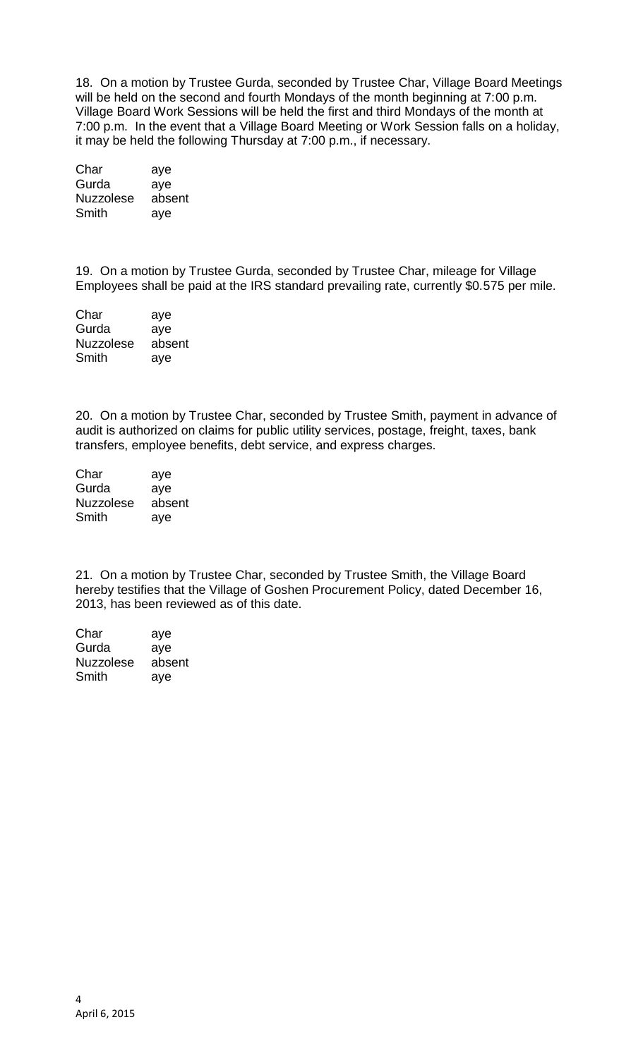18. On a motion by Trustee Gurda, seconded by Trustee Char, Village Board Meetings will be held on the second and fourth Mondays of the month beginning at 7:00 p.m. Village Board Work Sessions will be held the first and third Mondays of the month at 7:00 p.m. In the event that a Village Board Meeting or Work Session falls on a holiday, it may be held the following Thursday at 7:00 p.m., if necessary.

| Char             | aye    |
|------------------|--------|
| Gurda            | aye    |
| <b>Nuzzolese</b> | absent |
| Smith            | aye    |

19. On a motion by Trustee Gurda, seconded by Trustee Char, mileage for Village Employees shall be paid at the IRS standard prevailing rate, currently \$0.575 per mile.

| Char             | aye    |
|------------------|--------|
| Gurda            | aye    |
| <b>Nuzzolese</b> | absent |
| Smith            | aye    |

20. On a motion by Trustee Char, seconded by Trustee Smith, payment in advance of audit is authorized on claims for public utility services, postage, freight, taxes, bank transfers, employee benefits, debt service, and express charges.

| Char             | aye    |
|------------------|--------|
| Gurda            | aye    |
| <b>Nuzzolese</b> | absent |
| Smith            | aye    |

21. On a motion by Trustee Char, seconded by Trustee Smith, the Village Board hereby testifies that the Village of Goshen Procurement Policy, dated December 16, 2013, has been reviewed as of this date.

Char aye Gurda aye Nuzzolese absent Smith aye